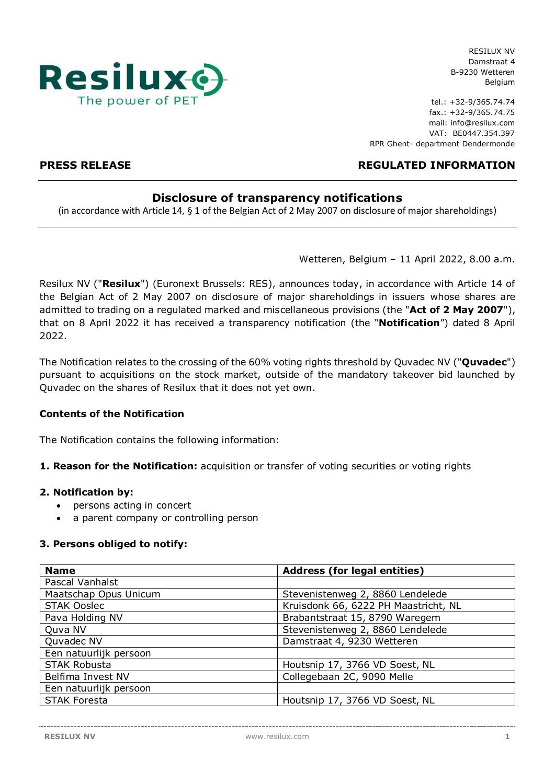

RESILUX NV Damstraat 4 B-9230 Wetteren Belgium

tel.: +32-9/365.74.74 fax.: +32-9/365.74.75 mail: info@resilux.com VAT: BE0447.354.397 RPR Ghent- department Dendermonde

# **PRESS RELEASE REGULATED INFORMATION**

# **Disclosure of transparency notifications**

(in accordance with Article 14, § 1 of the Belgian Act of 2 May 2007 on disclosure of major shareholdings)

Wetteren, Belgium – 11 April 2022, 8.00 a.m.

Resilux NV ("**Resilux**") (Euronext Brussels: RES), announces today, in accordance with Article 14 of the Belgian Act of 2 May 2007 on disclosure of major shareholdings in issuers whose shares are admitted to trading on a regulated marked and miscellaneous provisions (the "**Act of 2 May 2007**"), that on 8 April 2022 it has received a transparency notification (the "**Notification**") dated 8 April 2022.

The Notification relates to the crossing of the 60% voting rights threshold by Quvadec NV ("**Quvadec**") pursuant to acquisitions on the stock market, outside of the mandatory takeover bid launched by Quvadec on the shares of Resilux that it does not yet own.

## **Contents of the Notification**

The Notification contains the following information:

### **1. Reason for the Notification:** acquisition or transfer of voting securities or voting rights

### **2. Notification by:**

- persons acting in concert
- a parent company or controlling person

## **3. Persons obliged to notify:**

| <b>Name</b>            | <b>Address (for legal entities)</b>  |  |  |  |
|------------------------|--------------------------------------|--|--|--|
| Pascal Vanhalst        |                                      |  |  |  |
| Maatschap Opus Unicum  | Stevenistenweg 2, 8860 Lendelede     |  |  |  |
| <b>STAK Ooslec</b>     | Kruisdonk 66, 6222 PH Maastricht, NL |  |  |  |
| Pava Holding NV        | Brabantstraat 15, 8790 Waregem       |  |  |  |
| Quva NV                | Stevenistenweg 2, 8860 Lendelede     |  |  |  |
| Quvadec NV             | Damstraat 4, 9230 Wetteren           |  |  |  |
| Een natuurlijk persoon |                                      |  |  |  |
| <b>STAK Robusta</b>    | Houtsnip 17, 3766 VD Soest, NL       |  |  |  |
| Belfima Invest NV      | Collegebaan 2C, 9090 Melle           |  |  |  |
| Een natuurlijk persoon |                                      |  |  |  |
| <b>STAK Foresta</b>    | Houtsnip 17, 3766 VD Soest, NL       |  |  |  |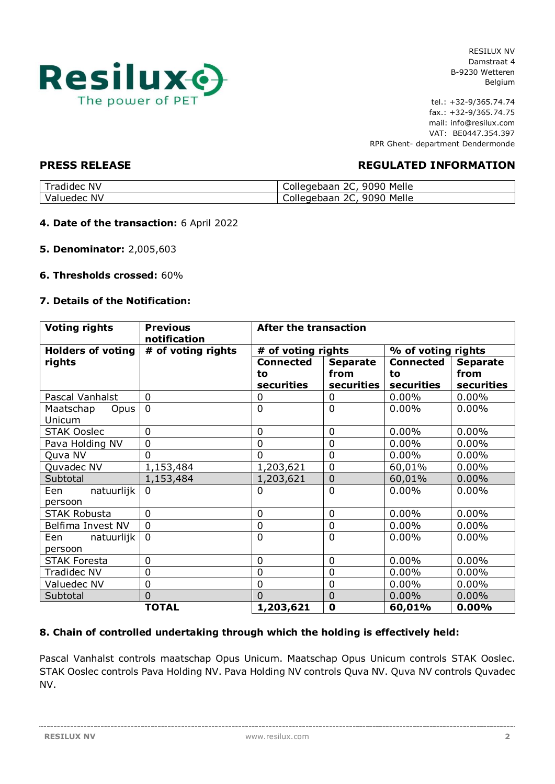

RESILUX NV Damstraat 4 B-9230 Wetteren Belgium

tel.: +32-9/365.74.74 fax.: +32-9/365.74.75 mail: info@resilux.com VAT: BE0447.354.397 RPR Ghent- department Dendermonde

# **PRESS RELEASE REGULATED INFORMATION**

| <b>NV</b><br><b>1000</b><br>adıneci | Melle<br>9090<br>ንር<br>piledebaan<br><u>_ _ .</u> |
|-------------------------------------|---------------------------------------------------|
| NV<br>،دەھىرا                       | Melle<br>9090<br>ጋር<br>Collegebaan<br>--          |

- **4. Date of the transaction:** 6 April 2022
- **5. Denominator:** 2,005,603
- **6. Thresholds crossed:** 60%

### **7. Details of the Notification:**

| <b>Voting rights</b>         | <b>Previous</b><br>notification | <b>After the transaction</b> |                 |                    |                 |  |
|------------------------------|---------------------------------|------------------------------|-----------------|--------------------|-----------------|--|
| <b>Holders of voting</b>     | # of voting rights              | # of voting rights           |                 | % of voting rights |                 |  |
| rights                       |                                 | <b>Connected</b>             | <b>Separate</b> | <b>Connected</b>   | <b>Separate</b> |  |
|                              |                                 | to                           | from            | to                 | from            |  |
|                              |                                 | securities                   | securities      | securities         | securities      |  |
| Pascal Vanhalst              | $\mathbf 0$                     | 0                            | $\Omega$        | $0.00\%$           | $0.00\%$        |  |
| Maatschap<br>Opus            | $\overline{0}$                  | $\overline{0}$               | $\Omega$        | $0.00\%$           | $0.00\%$        |  |
| Unicum                       |                                 |                              |                 |                    |                 |  |
| <b>STAK Ooslec</b>           | $\mathbf 0$                     | $\mathbf 0$                  | $\mathbf 0$     | 0.00%              | 0.00%           |  |
| Pava Holding NV              | $\mathbf 0$                     | $\overline{0}$               | $\mathbf 0$     | 0.00%              | 0.00%           |  |
| Quva NV                      | $\overline{0}$                  | $\overline{0}$               | $\overline{0}$  | $0.00\%$           | 0.00%           |  |
| Quvadec NV                   | 1,153,484                       | 1,203,621                    | $\overline{0}$  | 60,01%             | 0.00%           |  |
| Subtotal                     | 1,153,484                       | 1,203,621                    | $\overline{0}$  | 60,01%             | $0.00\%$        |  |
| natuurlijk<br>Een<br>persoon | $\mathbf{0}$                    | $\mathbf 0$                  | $\overline{0}$  | 0.00%              | 0.00%           |  |
| <b>STAK Robusta</b>          | $\mathbf 0$                     | $\mathbf 0$                  | $\mathbf 0$     | 0.00%              | $0.00\%$        |  |
| Belfima Invest NV            | $\mathbf 0$                     | $\mathbf 0$                  | $\overline{0}$  | 0.00%              | 0.00%           |  |
| natuurlijk<br>Een            | $\mathbf 0$                     | $\overline{0}$               | $\overline{0}$  | $0.00\%$           | $0.00\%$        |  |
| persoon                      |                                 |                              |                 |                    |                 |  |
| <b>STAK Foresta</b>          | $\mathbf 0$                     | $\mathbf 0$                  | $\mathbf 0$     | 0.00%              | $0.00\%$        |  |
| Tradidec NV                  | $\overline{0}$                  | $\overline{0}$               | $\overline{0}$  | 0.00%              | $0.00\%$        |  |
| Valuedec NV                  | $\mathbf 0$                     | $\mathbf 0$                  | $\overline{0}$  | 0.00%              | $0.00\%$        |  |
| Subtotal                     | $\overline{0}$                  | $\overline{0}$               | $\overline{0}$  | $0.00\%$           | $0.00\%$        |  |
|                              | <b>TOTAL</b>                    | 1,203,621                    | $\mathbf 0$     | 60,01%             | 0.00%           |  |

## **8. Chain of controlled undertaking through which the holding is effectively held:**

Pascal Vanhalst controls maatschap Opus Unicum. Maatschap Opus Unicum controls STAK Ooslec. STAK Ooslec controls Pava Holding NV. Pava Holding NV controls Quva NV. Quva NV controls Quvadec NV.